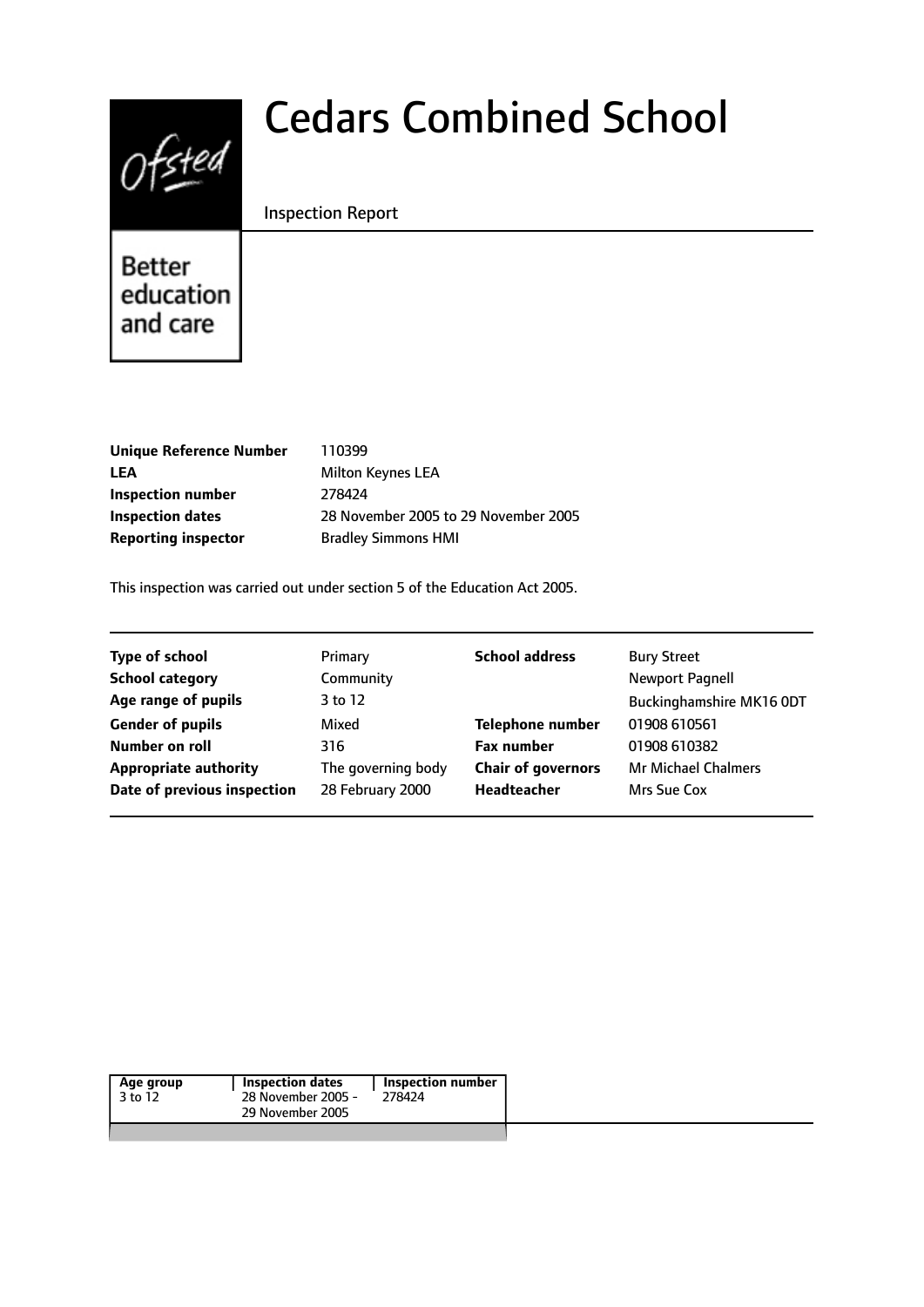

# Cedars Combined School

# Inspection Report

Better education and care

| Milton Keyn         |
|---------------------|
|                     |
| 28 Novembe          |
| <b>Bradley Simr</b> |
|                     |

**LEA Inspection dates** 28 November 2005 to 29 November 2005 **Reporting inspector** Bradley Simmons HMI

This inspection was carried out under section 5 of the Education Act 2005.

| <b>Type of school</b>        | Primary            | <b>School address</b>     | <b>Bury Street</b>         |
|------------------------------|--------------------|---------------------------|----------------------------|
| <b>School category</b>       | Community          |                           |                            |
| Age range of pupils          | 3 to 12            |                           | Buckinghamshire MK16 ODT   |
| <b>Gender of pupils</b>      | Mixed              | <b>Telephone number</b>   | 01908 610561               |
| Number on roll               | 316                | <b>Fax number</b>         | 01908 610382               |
| <b>Appropriate authority</b> | The governing body | <b>Chair of governors</b> | <b>Mr Michael Chalmers</b> |
| Date of previous inspection  | 28 February 2000   | Headteacher               | Mrs Sue Cox                |
|                              |                    |                           |                            |

| Age group | Inspection dates   | Inspection number |
|-----------|--------------------|-------------------|
| 3 to 12   | 28 November 2005 - | 278424            |
|           | 29 November 2005   |                   |
|           |                    |                   |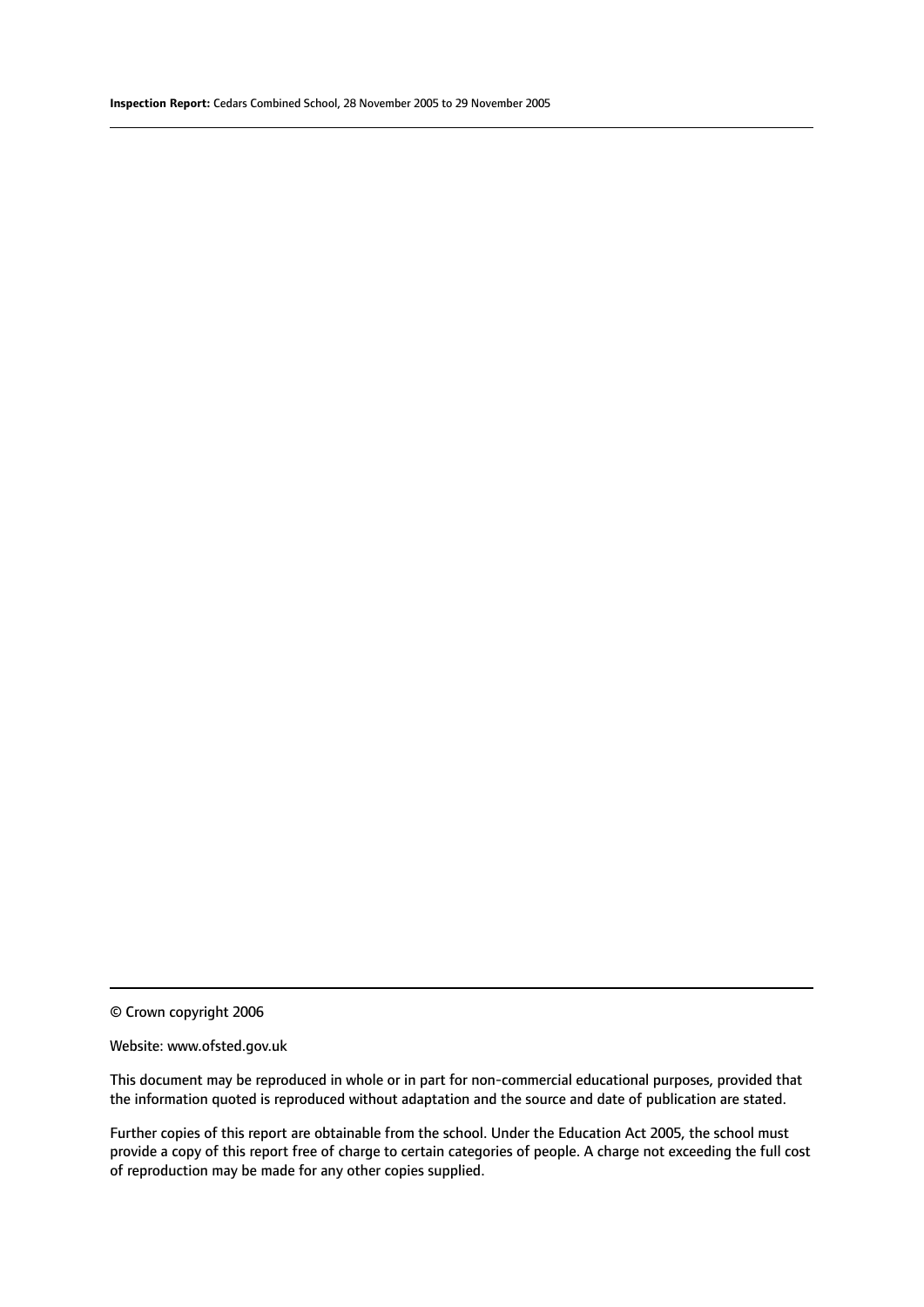© Crown copyright 2006

#### Website: www.ofsted.gov.uk

This document may be reproduced in whole or in part for non-commercial educational purposes, provided that the information quoted is reproduced without adaptation and the source and date of publication are stated.

Further copies of this report are obtainable from the school. Under the Education Act 2005, the school must provide a copy of this report free of charge to certain categories of people. A charge not exceeding the full cost of reproduction may be made for any other copies supplied.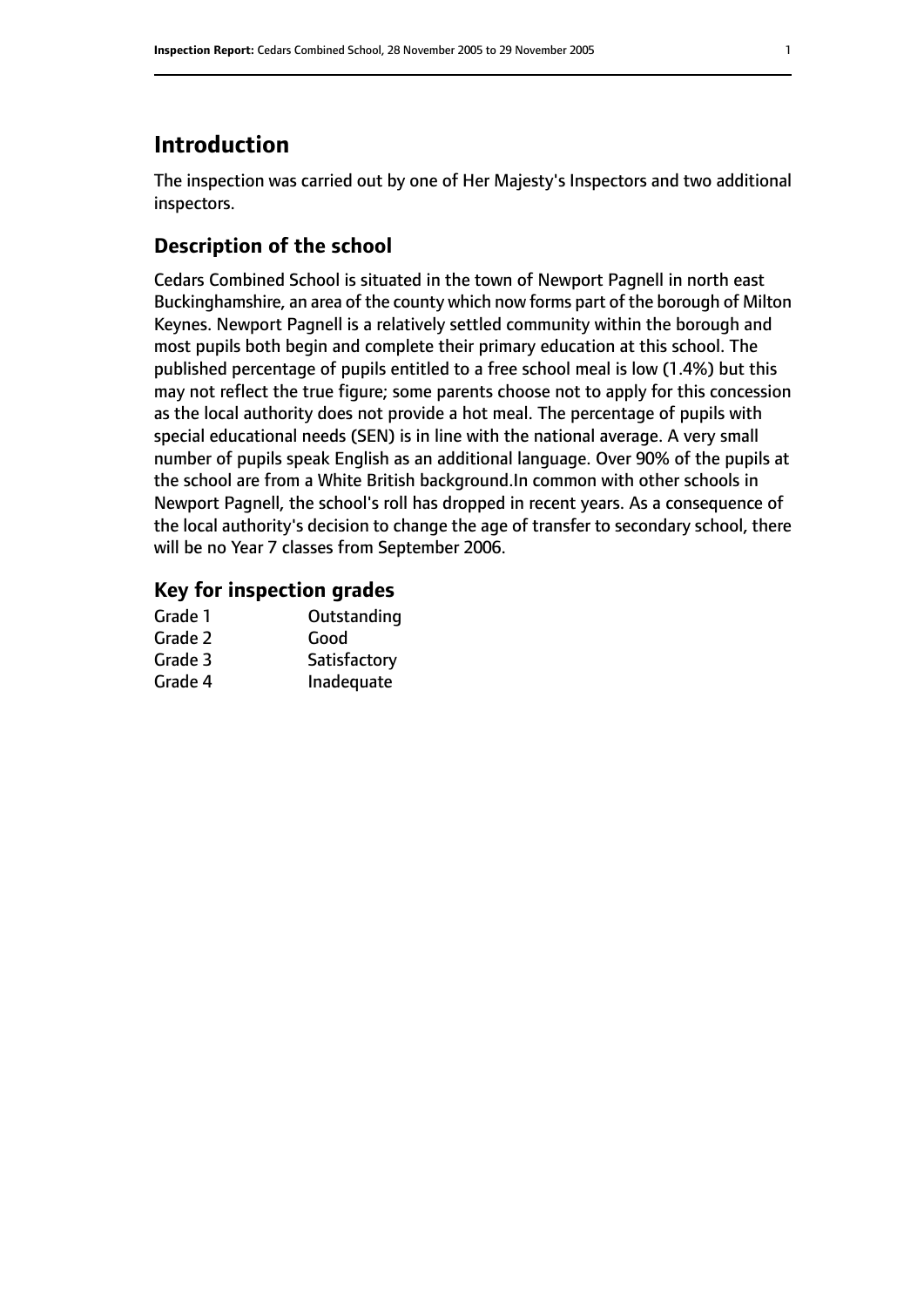# **Introduction**

The inspection was carried out by one of Her Majesty's Inspectors and two additional inspectors.

# **Description of the school**

Cedars Combined School is situated in the town of Newport Pagnell in north east Buckinghamshire, an area of the county which now forms part of the borough of Milton Keynes. Newport Pagnell is a relatively settled community within the borough and most pupils both begin and complete their primary education at this school. The published percentage of pupils entitled to a free school meal is low (1.4%) but this may not reflect the true figure; some parents choose not to apply for this concession as the local authority does not provide a hot meal. The percentage of pupils with special educational needs (SEN) is in line with the national average. A very small number of pupils speak English as an additional language. Over 90% of the pupils at the school are from a White British background.In common with other schools in Newport Pagnell, the school's roll has dropped in recent years. As a consequence of the local authority's decision to change the age of transfer to secondary school, there will be no Year 7 classes from September 2006.

# **Key for inspection grades**

| Grade 1 | Outstanding  |
|---------|--------------|
| Grade 2 | Good         |
| Grade 3 | Satisfactory |
| Grade 4 | Inadequate   |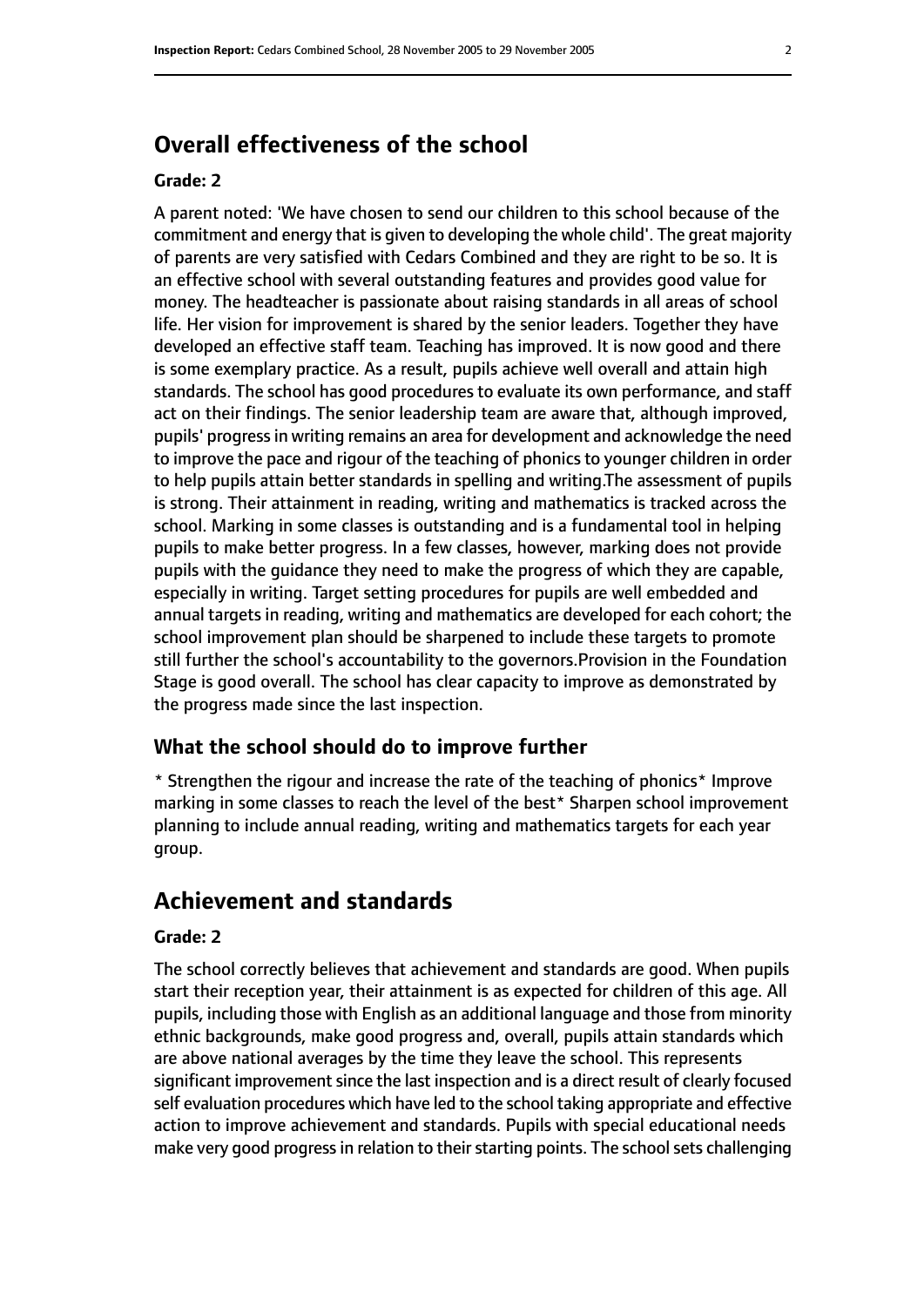# **Overall effectiveness of the school**

#### **Grade: 2**

A parent noted: 'We have chosen to send our children to this school because of the commitment and energy that is given to developing the whole child'. The great majority of parents are very satisfied with Cedars Combined and they are right to be so. It is an effective school with several outstanding features and provides good value for money. The headteacher is passionate about raising standards in all areas of school life. Her vision for improvement is shared by the senior leaders. Together they have developed an effective staff team. Teaching has improved. It is now good and there is some exemplary practice. As a result, pupils achieve well overall and attain high standards. The school has good procedures to evaluate its own performance, and staff act on their findings. The senior leadership team are aware that, although improved, pupils' progressin writing remains an area for development and acknowledge the need to improve the pace and rigour of the teaching of phonics to younger children in order to help pupils attain better standards in spelling and writing.The assessment of pupils is strong. Their attainment in reading, writing and mathematics is tracked across the school. Marking in some classes is outstanding and is a fundamental tool in helping pupils to make better progress. In a few classes, however, marking does not provide pupils with the guidance they need to make the progress of which they are capable, especially in writing. Target setting procedures for pupils are well embedded and annual targets in reading, writing and mathematics are developed for each cohort; the school improvement plan should be sharpened to include these targets to promote still further the school's accountability to the governors.Provision in the Foundation Stage is good overall. The school has clear capacity to improve as demonstrated by the progress made since the last inspection.

#### **What the school should do to improve further**

\* Strengthen the rigour and increase the rate of the teaching of phonics\* Improve marking in some classes to reach the level of the best\* Sharpen school improvement planning to include annual reading, writing and mathematics targets for each year group.

# **Achievement and standards**

#### **Grade: 2**

The school correctly believes that achievement and standards are good. When pupils start their reception year, their attainment is as expected for children of this age. All pupils, including those with English as an additional language and those from minority ethnic backgrounds, make good progress and, overall, pupils attain standards which are above national averages by the time they leave the school. This represents significant improvement since the last inspection and is a direct result of clearly focused self evaluation procedures which have led to the school taking appropriate and effective action to improve achievement and standards. Pupils with special educational needs make very good progress in relation to their starting points. The school sets challenging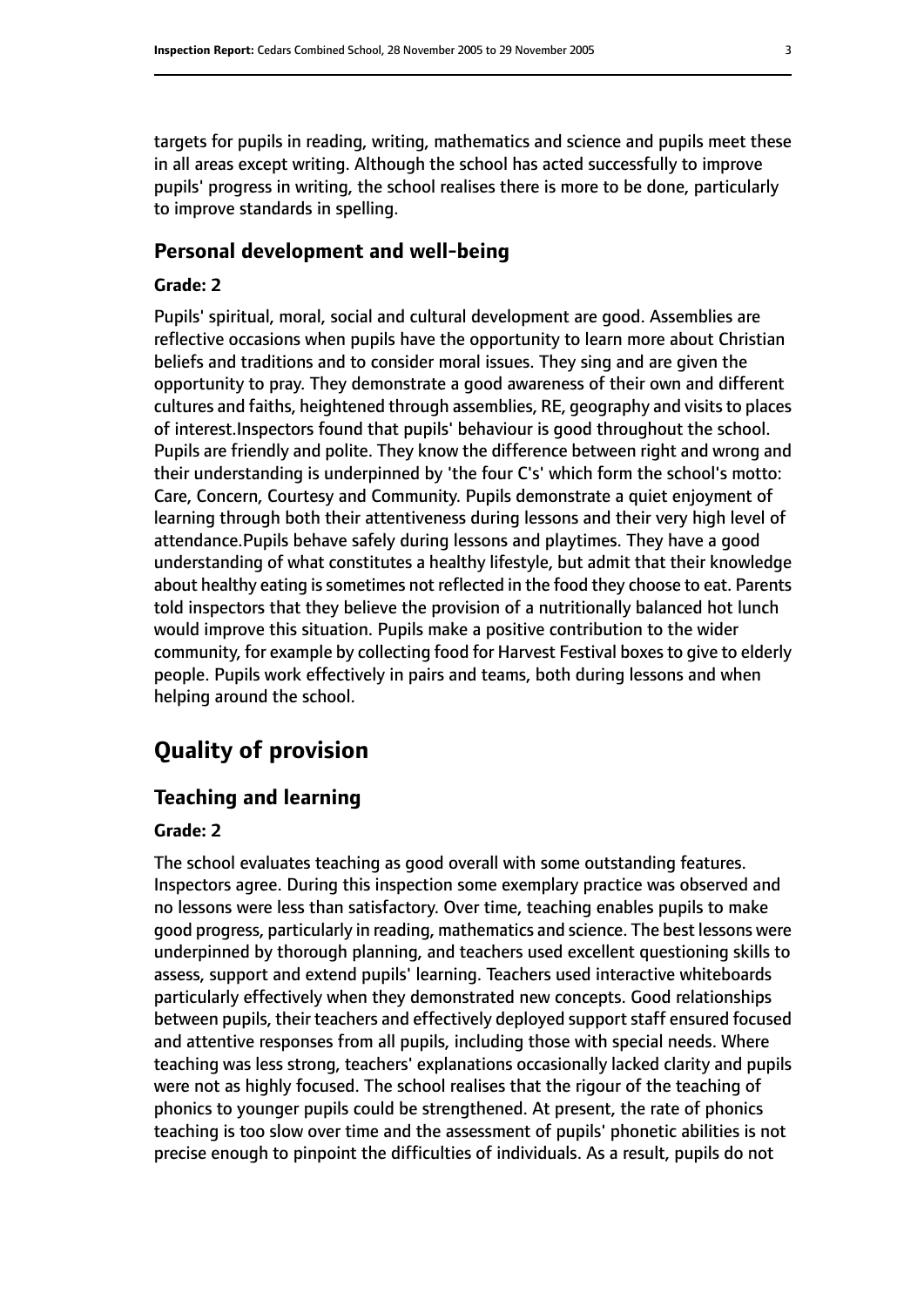targets for pupils in reading, writing, mathematics and science and pupils meet these in all areas except writing. Although the school has acted successfully to improve pupils' progress in writing, the school realises there is more to be done, particularly to improve standards in spelling.

## **Personal development and well-being**

## **Grade: 2**

Pupils' spiritual, moral, social and cultural development are good. Assemblies are reflective occasions when pupils have the opportunity to learn more about Christian beliefs and traditions and to consider moral issues. They sing and are given the opportunity to pray. They demonstrate a good awareness of their own and different cultures and faiths, heightened through assemblies, RE, geography and visitsto places of interest.Inspectors found that pupils' behaviour is good throughout the school. Pupils are friendly and polite. They know the difference between right and wrong and their understanding is underpinned by 'the four C's' which form the school's motto: Care, Concern, Courtesy and Community. Pupils demonstrate a quiet enjoyment of learning through both their attentiveness during lessons and their very high level of attendance.Pupils behave safely during lessons and playtimes. They have a good understanding of what constitutes a healthy lifestyle, but admit that their knowledge about healthy eating is sometimes not reflected in the food they choose to eat. Parents told inspectors that they believe the provision of a nutritionally balanced hot lunch would improve this situation. Pupils make a positive contribution to the wider community, for example by collecting food for Harvest Festival boxes to give to elderly people. Pupils work effectively in pairs and teams, both during lessons and when helping around the school.

# **Quality of provision**

# **Teaching and learning**

#### **Grade: 2**

The school evaluates teaching as good overall with some outstanding features. Inspectors agree. During this inspection some exemplary practice was observed and no lessons were less than satisfactory. Over time, teaching enables pupils to make good progress, particularly in reading, mathematics and science. The best lessons were underpinned by thorough planning, and teachers used excellent questioning skills to assess, support and extend pupils' learning. Teachers used interactive whiteboards particularly effectively when they demonstrated new concepts. Good relationships between pupils, their teachers and effectively deployed support staff ensured focused and attentive responses from all pupils, including those with special needs. Where teaching was less strong, teachers' explanations occasionally lacked clarity and pupils were not as highly focused. The school realises that the rigour of the teaching of phonics to younger pupils could be strengthened. At present, the rate of phonics teaching is too slow over time and the assessment of pupils' phonetic abilities is not precise enough to pinpoint the difficulties of individuals. As a result, pupils do not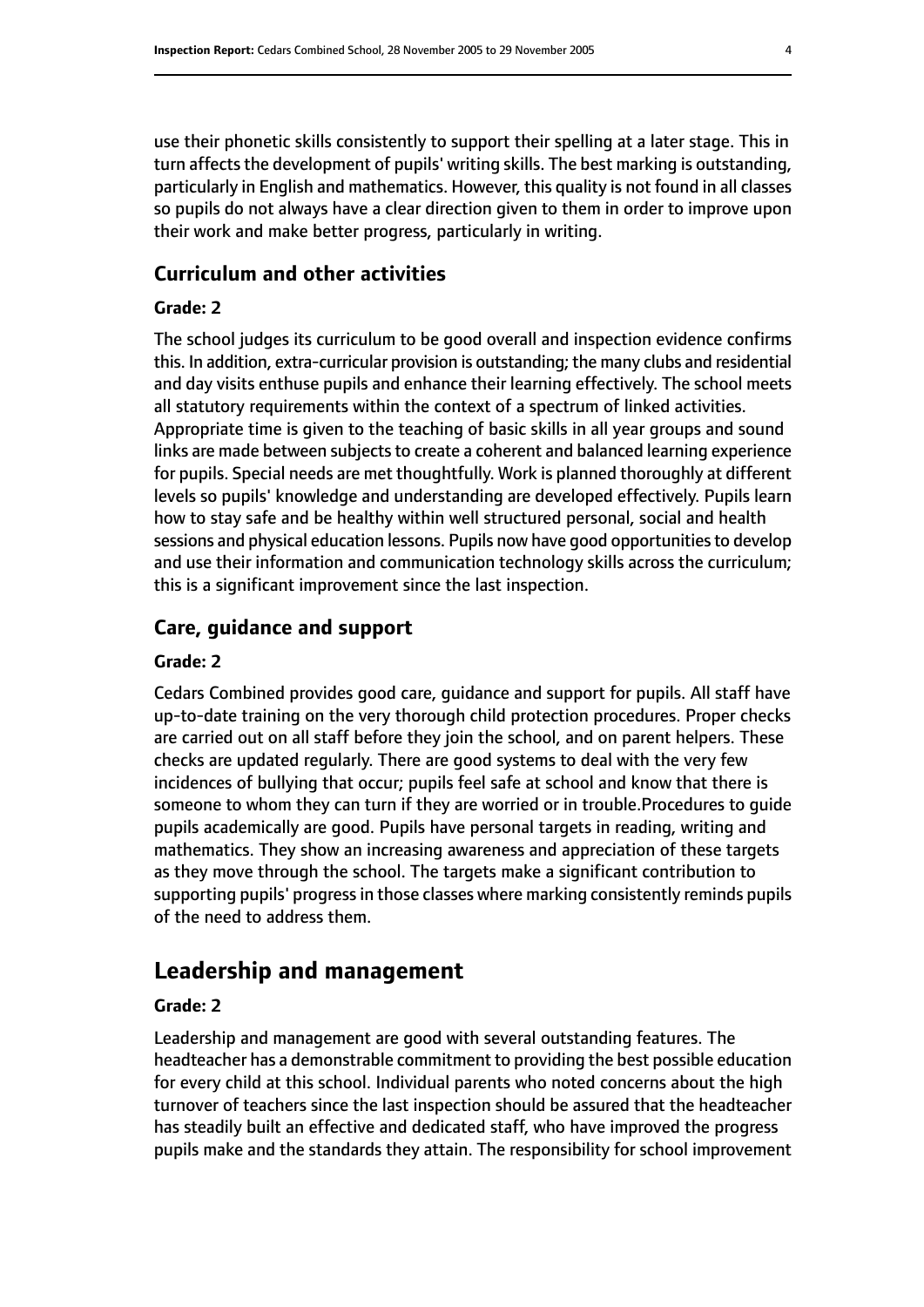use their phonetic skills consistently to support their spelling at a later stage. This in turn affects the development of pupils' writing skills. The best marking is outstanding, particularly in English and mathematics. However, this quality is not found in all classes so pupils do not always have a clear direction given to them in order to improve upon their work and make better progress, particularly in writing.

## **Curriculum and other activities**

#### **Grade: 2**

The school judges its curriculum to be good overall and inspection evidence confirms this. In addition, extra-curricular provision is outstanding; the many clubs and residential and day visits enthuse pupils and enhance their learning effectively. The school meets all statutory requirements within the context of a spectrum of linked activities. Appropriate time is given to the teaching of basic skills in all year groups and sound links are made between subjects to create a coherent and balanced learning experience for pupils. Special needs are met thoughtfully. Work is planned thoroughly at different levels so pupils' knowledge and understanding are developed effectively. Pupils learn how to stay safe and be healthy within well structured personal, social and health sessions and physical education lessons. Pupils now have good opportunities to develop and use their information and communication technology skills across the curriculum; this is a significant improvement since the last inspection.

## **Care, guidance and support**

#### **Grade: 2**

Cedars Combined provides good care, guidance and support for pupils. All staff have up-to-date training on the very thorough child protection procedures. Proper checks are carried out on all staff before they join the school, and on parent helpers. These checks are updated regularly. There are good systems to deal with the very few incidences of bullying that occur; pupils feel safe at school and know that there is someone to whom they can turn if they are worried or in trouble.Procedures to guide pupils academically are good. Pupils have personal targets in reading, writing and mathematics. They show an increasing awareness and appreciation of these targets as they move through the school. The targets make a significant contribution to supporting pupils' progress in those classes where marking consistently reminds pupils of the need to address them.

# **Leadership and management**

#### **Grade: 2**

Leadership and management are good with several outstanding features. The headteacher has a demonstrable commitment to providing the best possible education for every child at this school. Individual parents who noted concerns about the high turnover of teachers since the last inspection should be assured that the headteacher has steadily built an effective and dedicated staff, who have improved the progress pupils make and the standards they attain. The responsibility for school improvement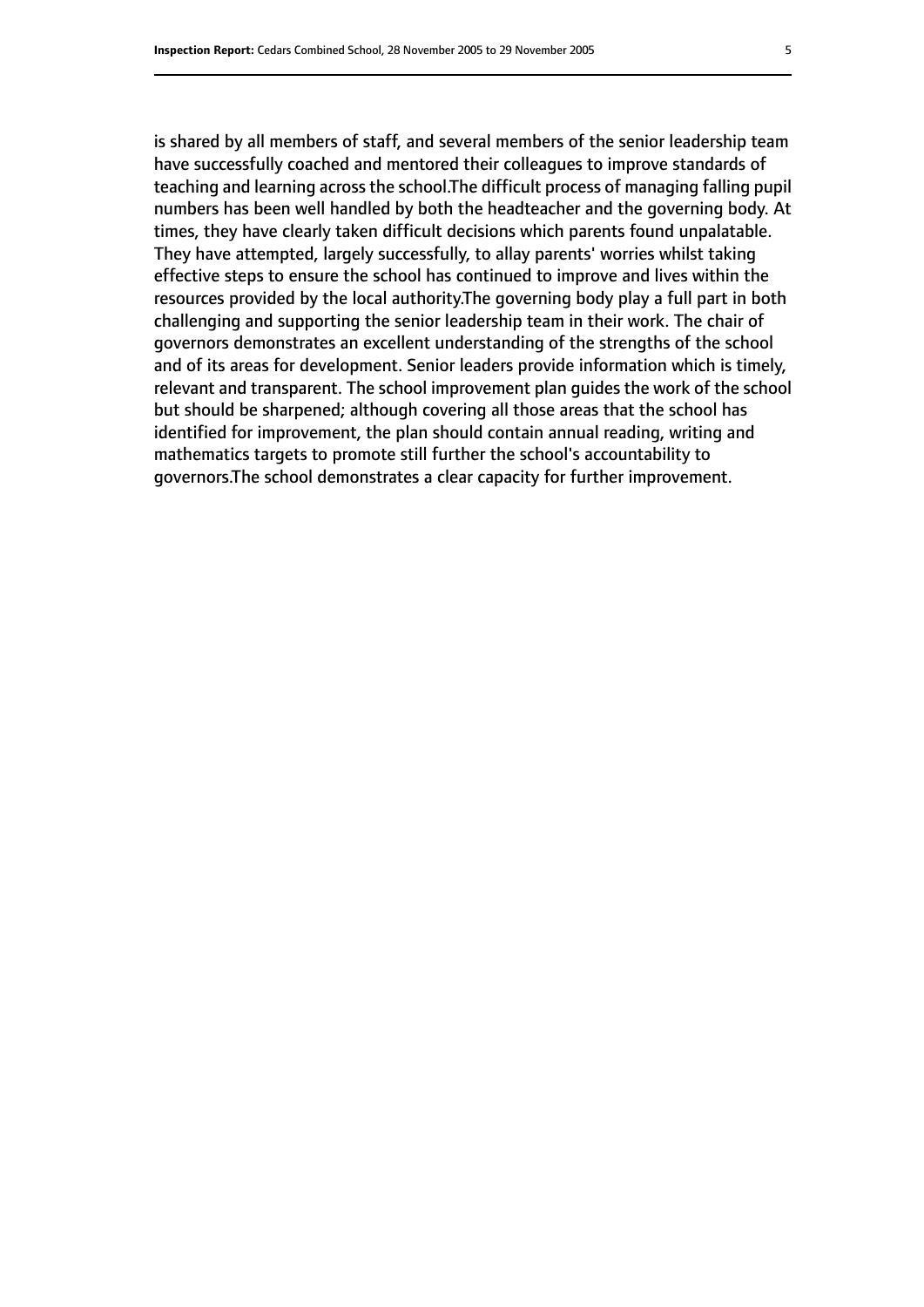is shared by all members of staff, and several members of the senior leadership team have successfully coached and mentored their colleagues to improve standards of teaching and learning across the school.The difficult process of managing falling pupil numbers has been well handled by both the headteacher and the governing body. At times, they have clearly taken difficult decisions which parents found unpalatable. They have attempted, largely successfully, to allay parents' worries whilst taking effective steps to ensure the school has continued to improve and lives within the resources provided by the local authority.The governing body play a full part in both challenging and supporting the senior leadership team in their work. The chair of governors demonstrates an excellent understanding of the strengths of the school and of its areas for development. Senior leaders provide information which is timely, relevant and transparent. The school improvement plan guides the work of the school but should be sharpened; although covering all those areas that the school has identified for improvement, the plan should contain annual reading, writing and mathematics targets to promote still further the school's accountability to governors.The school demonstrates a clear capacity for further improvement.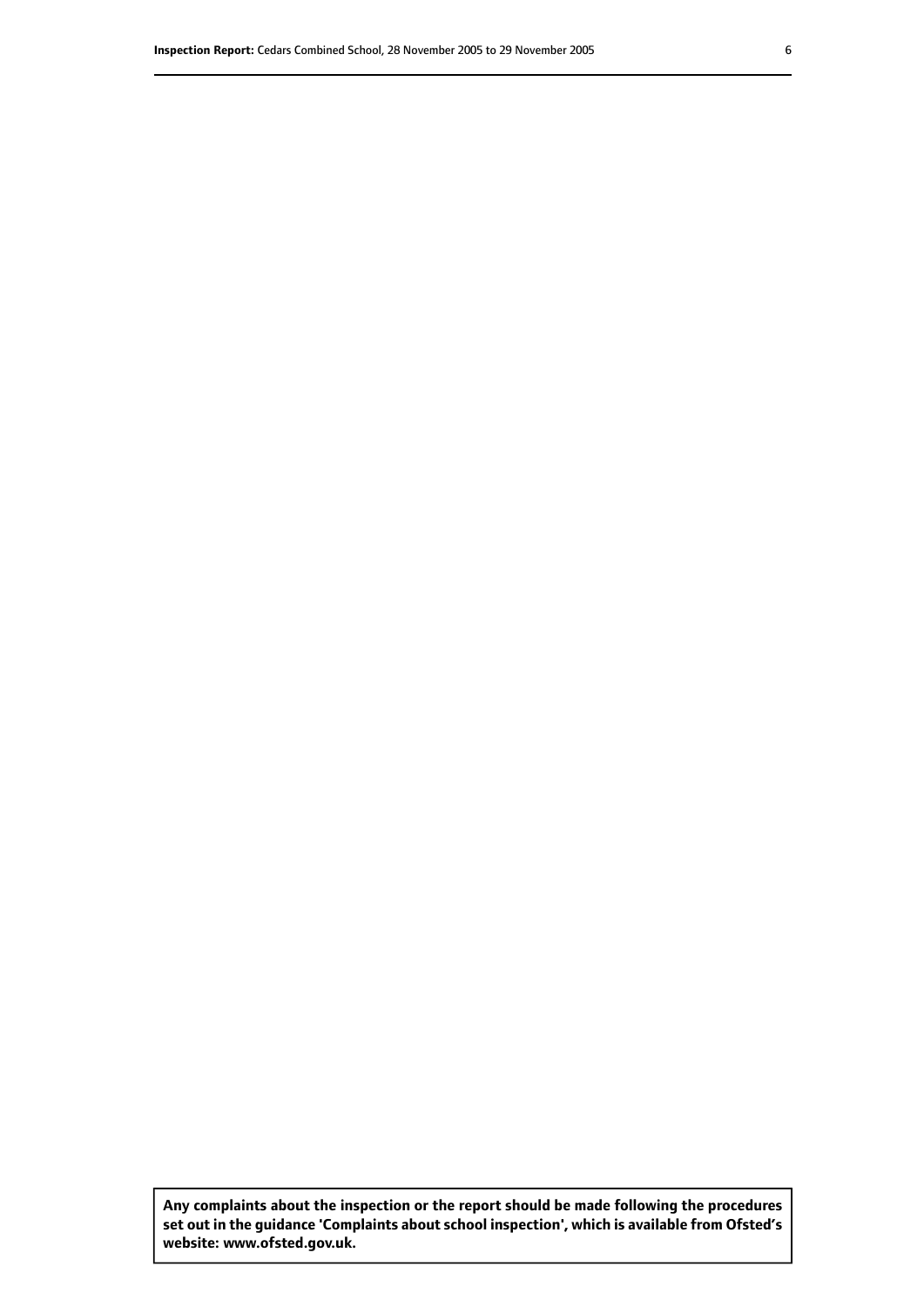**Any complaints about the inspection or the report should be made following the procedures set out inthe guidance 'Complaints about school inspection', whichis available from Ofsted's website: www.ofsted.gov.uk.**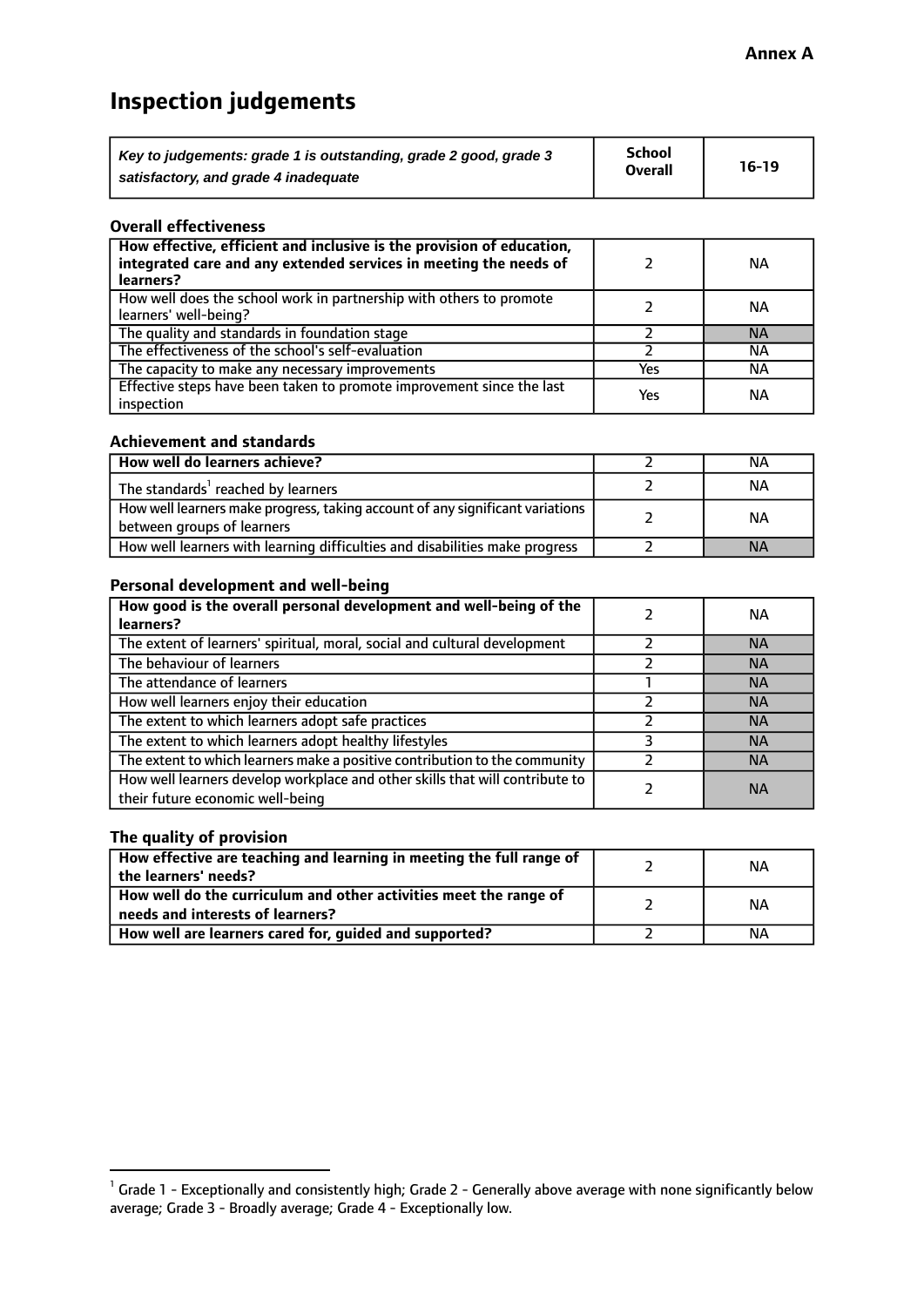# **Inspection judgements**

| Key to judgements: grade 1 is outstanding, grade 2 good, grade 3 | School         | $16-19$ |
|------------------------------------------------------------------|----------------|---------|
| satisfactory, and grade 4 inadequate                             | <b>Overall</b> |         |

#### **Overall effectiveness**

| How effective, efficient and inclusive is the provision of education,<br>integrated care and any extended services in meeting the needs of<br>learners? |     | ΝA        |
|---------------------------------------------------------------------------------------------------------------------------------------------------------|-----|-----------|
| How well does the school work in partnership with others to promote<br>learners' well-being?                                                            |     | ΝA        |
| The quality and standards in foundation stage                                                                                                           |     | <b>NA</b> |
| The effectiveness of the school's self-evaluation                                                                                                       |     | ΝA        |
| The capacity to make any necessary improvements                                                                                                         | Yes | ΝA        |
| Effective steps have been taken to promote improvement since the last<br>inspection                                                                     | Yes | ΝA        |

#### **Achievement and standards**

| How well do learners achieve?                                                                               | ΝA        |
|-------------------------------------------------------------------------------------------------------------|-----------|
| The standards <sup>1</sup> reached by learners                                                              | NА        |
| How well learners make progress, taking account of any significant variations<br>between groups of learners | <b>NA</b> |
| How well learners with learning difficulties and disabilities make progress                                 | <b>NA</b> |

## **Personal development and well-being**

| How good is the overall personal development and well-being of the<br>learners?                                  | ΝA        |
|------------------------------------------------------------------------------------------------------------------|-----------|
| The extent of learners' spiritual, moral, social and cultural development                                        | <b>NA</b> |
| The behaviour of learners                                                                                        | <b>NA</b> |
| The attendance of learners                                                                                       | <b>NA</b> |
| How well learners enjoy their education                                                                          | <b>NA</b> |
| The extent to which learners adopt safe practices                                                                | <b>NA</b> |
| The extent to which learners adopt healthy lifestyles                                                            | <b>NA</b> |
| The extent to which learners make a positive contribution to the community                                       | <b>NA</b> |
| How well learners develop workplace and other skills that will contribute to<br>their future economic well-being | <b>NA</b> |

# **The quality of provision**

| How effective are teaching and learning in meeting the full range of<br>the learners' needs?          | NА |
|-------------------------------------------------------------------------------------------------------|----|
| How well do the curriculum and other activities meet the range of<br>needs and interests of learners? | NА |
| How well are learners cared for, guided and supported?                                                | ΝA |

 $^1$  Grade 1 - Exceptionally and consistently high; Grade 2 - Generally above average with none significantly below average; Grade 3 - Broadly average; Grade 4 - Exceptionally low.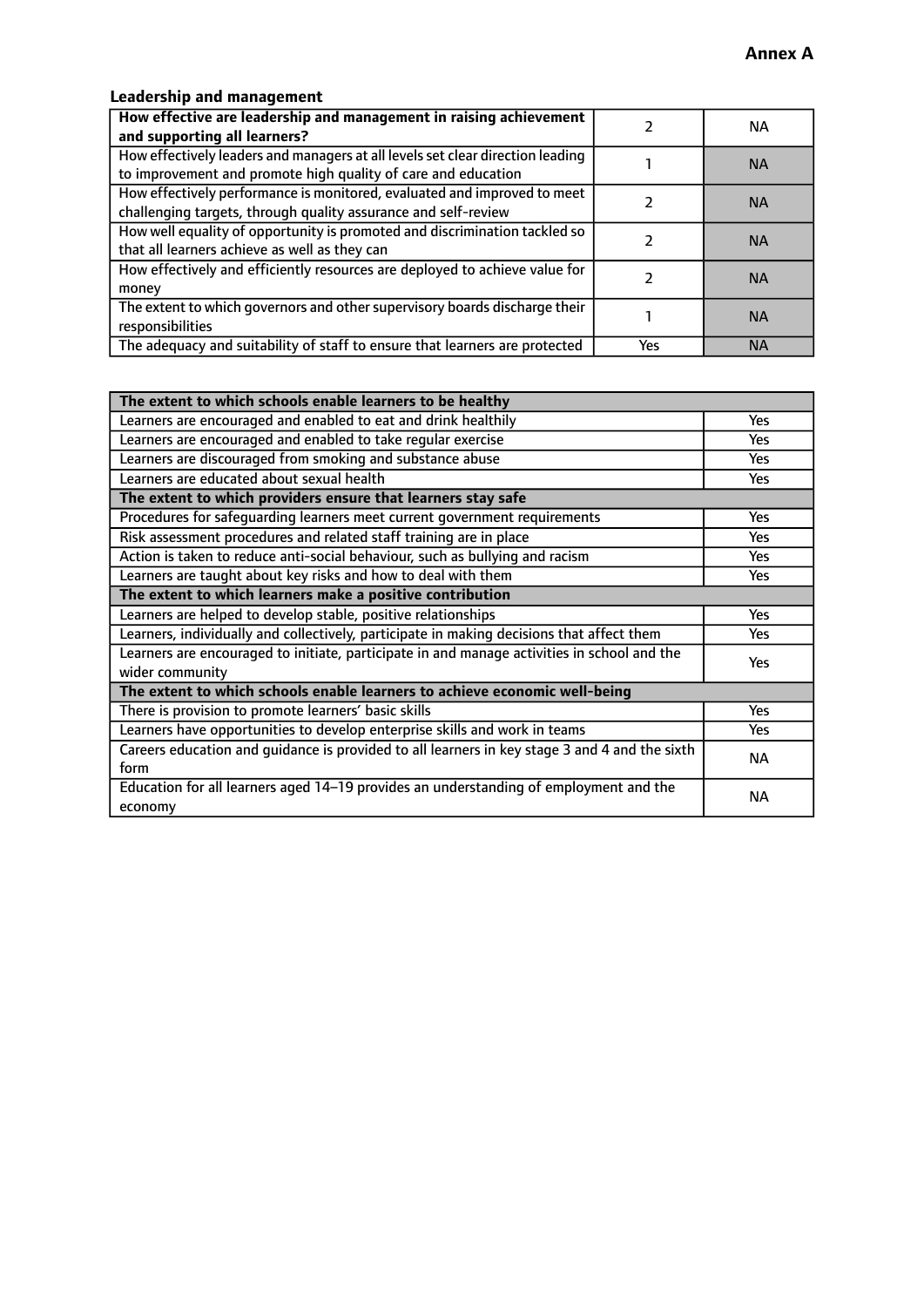# **Leadership and management**

| How effective are leadership and management in raising achievement<br>and supporting all learners?                                              |     | NA.       |
|-------------------------------------------------------------------------------------------------------------------------------------------------|-----|-----------|
| How effectively leaders and managers at all levels set clear direction leading<br>to improvement and promote high quality of care and education |     | <b>NA</b> |
| How effectively performance is monitored, evaluated and improved to meet<br>challenging targets, through quality assurance and self-review      |     | <b>NA</b> |
| How well equality of opportunity is promoted and discrimination tackled so<br>that all learners achieve as well as they can                     |     | <b>NA</b> |
| How effectively and efficiently resources are deployed to achieve value for<br>money                                                            |     | <b>NA</b> |
| The extent to which governors and other supervisory boards discharge their<br>responsibilities                                                  |     | <b>NA</b> |
| The adequacy and suitability of staff to ensure that learners are protected                                                                     | Yes | <b>NA</b> |

| The extent to which schools enable learners to be healthy                                     |            |  |
|-----------------------------------------------------------------------------------------------|------------|--|
| Learners are encouraged and enabled to eat and drink healthily                                | Yes        |  |
| Learners are encouraged and enabled to take regular exercise                                  | <b>Yes</b> |  |
| Learners are discouraged from smoking and substance abuse                                     | Yes        |  |
| Learners are educated about sexual health                                                     | Yes        |  |
| The extent to which providers ensure that learners stay safe                                  |            |  |
| Procedures for safequarding learners meet current government requirements                     | Yes        |  |
| Risk assessment procedures and related staff training are in place                            | Yes        |  |
| Action is taken to reduce anti-social behaviour, such as bullying and racism                  | <b>Yes</b> |  |
| Learners are taught about key risks and how to deal with them                                 | Yes        |  |
| The extent to which learners make a positive contribution                                     |            |  |
| Learners are helped to develop stable, positive relationships                                 | Yes        |  |
| Learners, individually and collectively, participate in making decisions that affect them     | Yes        |  |
| Learners are encouraged to initiate, participate in and manage activities in school and the   | <b>Yes</b> |  |
| wider community                                                                               |            |  |
| The extent to which schools enable learners to achieve economic well-being                    |            |  |
| There is provision to promote learners' basic skills                                          | Yes        |  |
| Learners have opportunities to develop enterprise skills and work in teams                    | Yes        |  |
| Careers education and quidance is provided to all learners in key stage 3 and 4 and the sixth | <b>NA</b>  |  |
| form                                                                                          |            |  |
| Education for all learners aged 14-19 provides an understanding of employment and the         | <b>NA</b>  |  |
| economy                                                                                       |            |  |